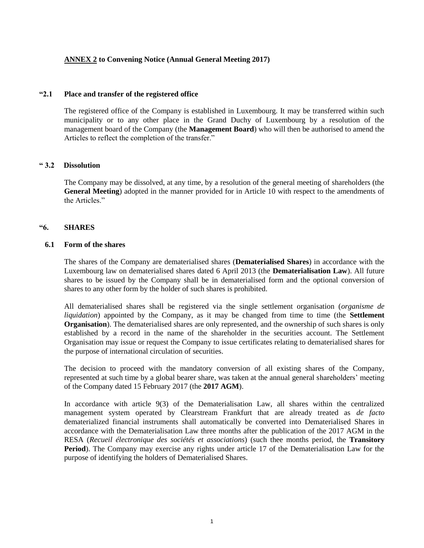# **ANNEX 2 to Convening Notice (Annual General Meeting 2017)**

#### **"2.1 Place and transfer of the registered office**

The registered office of the Company is established in Luxembourg. It may be transferred within such municipality or to any other place in the Grand Duchy of Luxembourg by a resolution of the management board of the Company (the **Management Board**) who will then be authorised to amend the Articles to reflect the completion of the transfer."

## **" 3.2 Dissolution**

The Company may be dissolved, at any time, by a resolution of the general meeting of shareholders (the **General Meeting**) adopted in the manner provided for in Article 10 with respect to the amendments of the Articles."

## **"6. SHARES**

## **6.1 Form of the shares**

The shares of the Company are dematerialised shares (**Dematerialised Shares**) in accordance with the Luxembourg law on dematerialised shares dated 6 April 2013 (the **Dematerialisation Law**). All future shares to be issued by the Company shall be in dematerialised form and the optional conversion of shares to any other form by the holder of such shares is prohibited.

All dematerialised shares shall be registered via the single settlement organisation (*organisme de liquidation*) appointed by the Company, as it may be changed from time to time (the **Settlement Organisation**). The dematerialised shares are only represented, and the ownership of such shares is only established by a record in the name of the shareholder in the securities account. The Settlement Organisation may issue or request the Company to issue certificates relating to dematerialised shares for the purpose of international circulation of securities.

The decision to proceed with the mandatory conversion of all existing shares of the Company, represented at such time by a global bearer share, was taken at the annual general shareholders' meeting of the Company dated 15 February 2017 (the **2017 AGM**).

In accordance with article 9(3) of the Dematerialisation Law, all shares within the centralized management system operated by Clearstream Frankfurt that are already treated as *de facto*  dematerialized financial instruments shall automatically be converted into Dematerialised Shares in accordance with the Dematerialisation Law three months after the publication of the 2017 AGM in the RESA (*Recueil électronique des sociétés et associations*) (such thee months period, the **Transitory Period**). The Company may exercise any rights under article 17 of the Dematerialisation Law for the purpose of identifying the holders of Dematerialised Shares.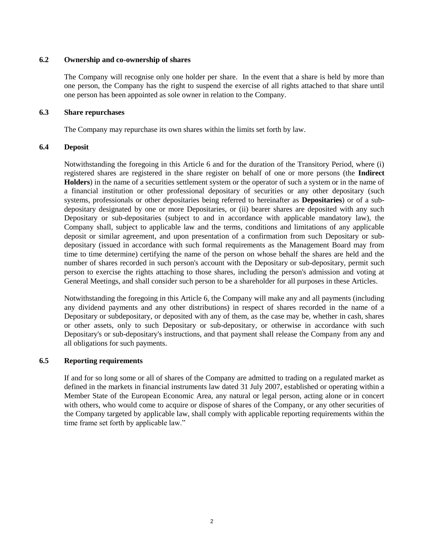# **6.2 Ownership and co-ownership of shares**

The Company will recognise only one holder per share. In the event that a share is held by more than one person, the Company has the right to suspend the exercise of all rights attached to that share until one person has been appointed as sole owner in relation to the Company.

# **6.3 Share repurchases**

The Company may repurchase its own shares within the limits set forth by law.

# **6.4 Deposit**

Notwithstanding the foregoing in this Article 6 and for the duration of the Transitory Period, where (i) registered shares are registered in the share register on behalf of one or more persons (the **Indirect Holders**) in the name of a securities settlement system or the operator of such a system or in the name of a financial institution or other professional depositary of securities or any other depositary (such systems, professionals or other depositaries being referred to hereinafter as **Depositaries**) or of a subdepositary designated by one or more Depositaries, or (ii) bearer shares are deposited with any such Depositary or sub-depositaries (subject to and in accordance with applicable mandatory law), the Company shall, subject to applicable law and the terms, conditions and limitations of any applicable deposit or similar agreement, and upon presentation of a confirmation from such Depositary or subdepositary (issued in accordance with such formal requirements as the Management Board may from time to time determine) certifying the name of the person on whose behalf the shares are held and the number of shares recorded in such person's account with the Depositary or sub-depositary, permit such person to exercise the rights attaching to those shares, including the person's admission and voting at General Meetings, and shall consider such person to be a shareholder for all purposes in these Articles.

Notwithstanding the foregoing in this Article 6, the Company will make any and all payments (including any dividend payments and any other distributions) in respect of shares recorded in the name of a Depositary or subdepositary, or deposited with any of them, as the case may be, whether in cash, shares or other assets, only to such Depositary or sub-depositary, or otherwise in accordance with such Depositary's or sub-depositary's instructions, and that payment shall release the Company from any and all obligations for such payments.

# **6.5 Reporting requirements**

If and for so long some or all of shares of the Company are admitted to trading on a regulated market as defined in the markets in financial instruments law dated 31 July 2007, established or operating within a Member State of the European Economic Area, any natural or legal person, acting alone or in concert with others, who would come to acquire or dispose of shares of the Company, or any other securities of the Company targeted by applicable law, shall comply with applicable reporting requirements within the time frame set forth by applicable law."